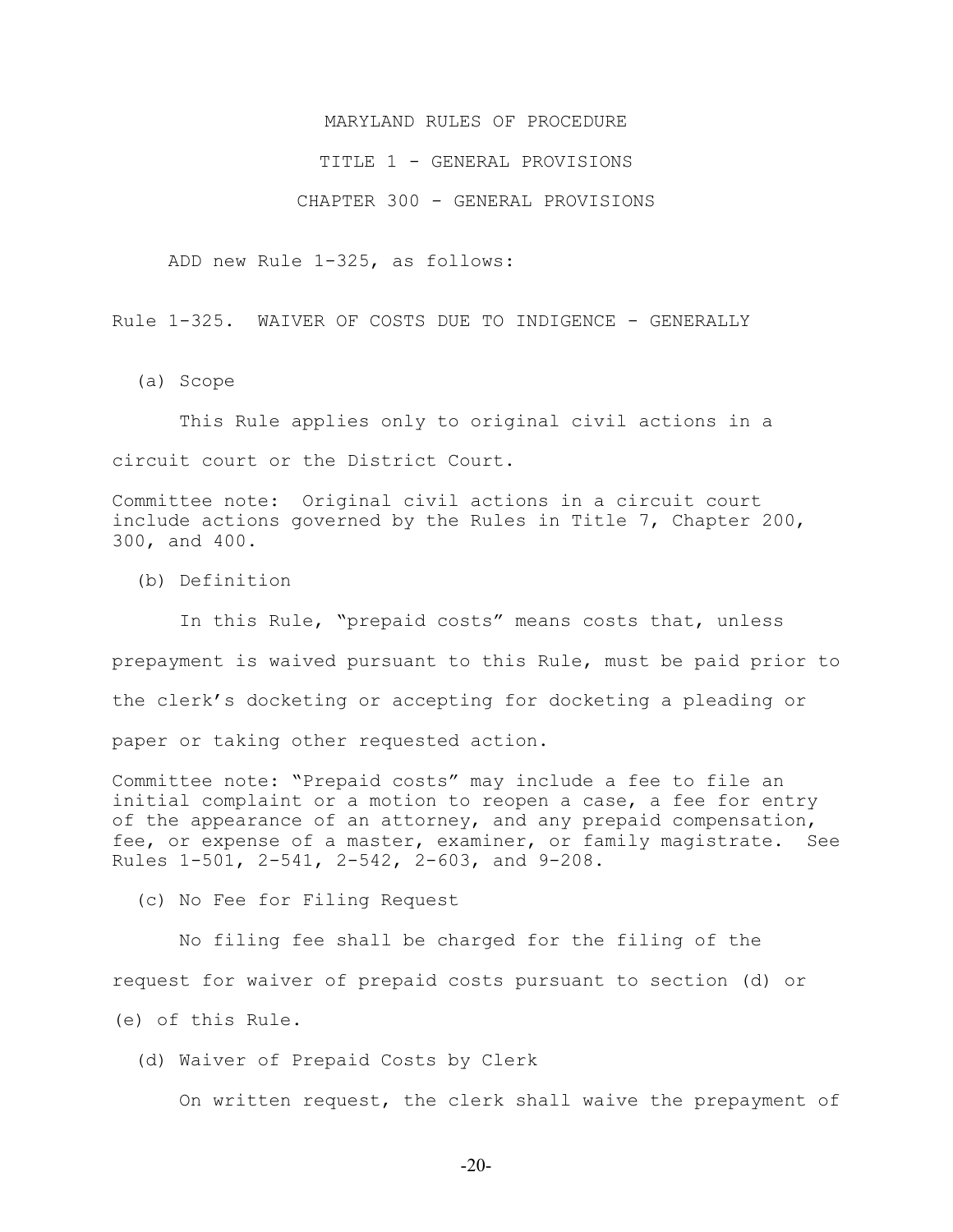### MARYLAND RULES OF PROCEDURE

### TITLE 1 - GENERAL PROVISIONS

#### CHAPTER 300 - GENERAL PROVISIONS

ADD new Rule 1-325, as follows:

Rule 1-325. WAIVER OF COSTS DUE TO INDIGENCE - GENERALLY

(a) Scope

 This Rule applies only to original civil actions in a circuit court or the District Court.

Committee note: Original civil actions in a circuit court include actions governed by the Rules in Title 7, Chapter 200, 300, and 400.

(b) Definition

 In this Rule, "prepaid costs" means costs that, unless prepayment is waived pursuant to this Rule, must be paid prior to the clerk's docketing or accepting for docketing a pleading or paper or taking other requested action.

Committee note: "Prepaid costs" may include a fee to file an initial complaint or a motion to reopen a case, a fee for entry of the appearance of an attorney, and any prepaid compensation, fee, or expense of a master, examiner, or family magistrate. See Rules 1-501, 2-541, 2-542, 2-603, and 9-208.

(c) No Fee for Filing Request

 No filing fee shall be charged for the filing of the request for waiver of prepaid costs pursuant to section (d) or (e) of this Rule.

(d) Waiver of Prepaid Costs by Clerk

On written request, the clerk shall waive the prepayment of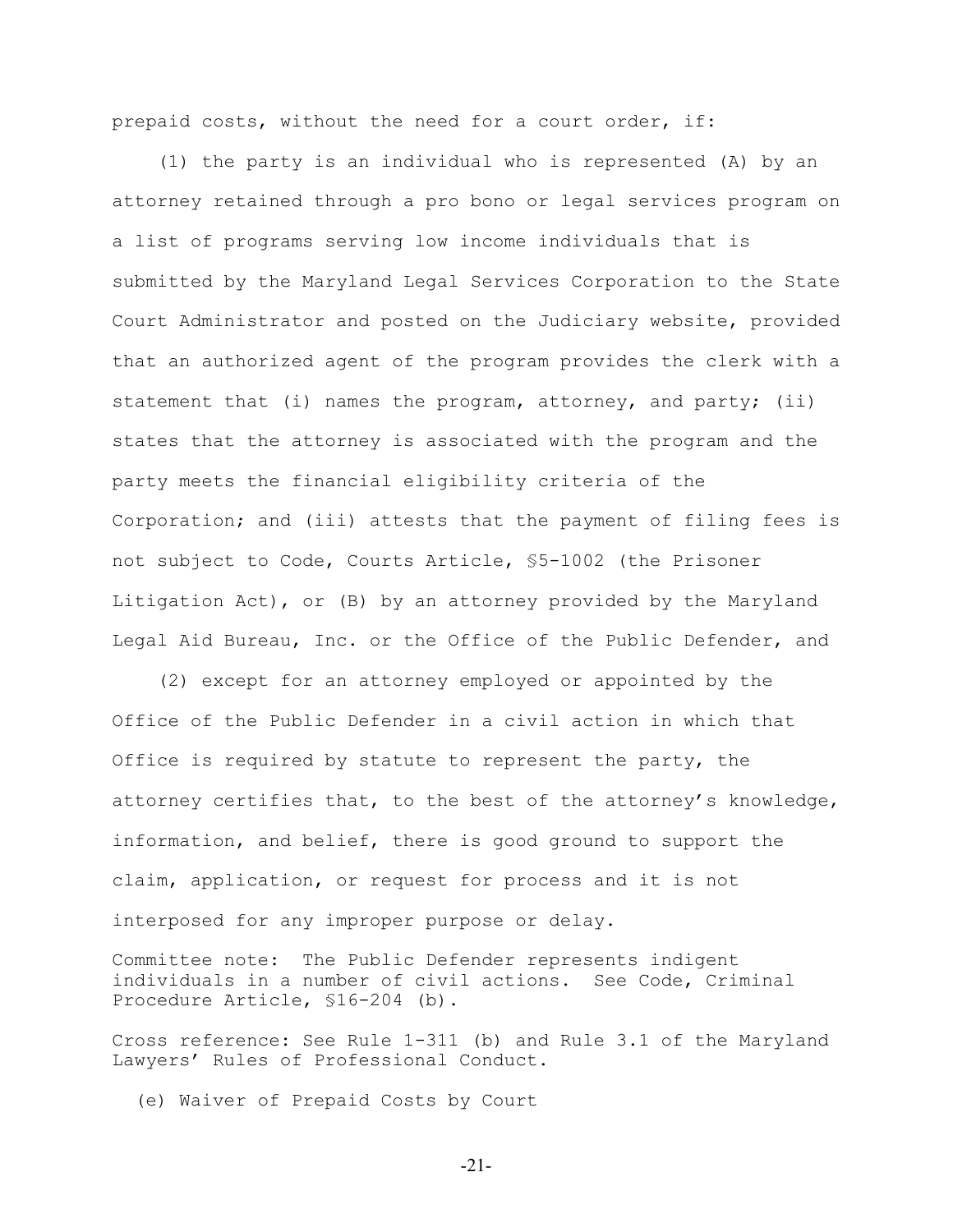prepaid costs, without the need for a court order, if:

 (1) the party is an individual who is represented (A) by an attorney retained through a pro bono or legal services program on a list of programs serving low income individuals that is submitted by the Maryland Legal Services Corporation to the State Court Administrator and posted on the Judiciary website, provided that an authorized agent of the program provides the clerk with a statement that (i) names the program, attorney, and party; (ii) states that the attorney is associated with the program and the party meets the financial eligibility criteria of the Corporation; and (iii) attests that the payment of filing fees is not subject to Code, Courts Article, §5-1002 (the Prisoner Litigation Act), or (B) by an attorney provided by the Maryland Legal Aid Bureau, Inc. or the Office of the Public Defender, and

 (2) except for an attorney employed or appointed by the Office of the Public Defender in a civil action in which that Office is required by statute to represent the party, the attorney certifies that, to the best of the attorney's knowledge, information, and belief, there is good ground to support the claim, application, or request for process and it is not interposed for any improper purpose or delay.

Committee note: The Public Defender represents indigent individuals in a number of civil actions. See Code, Criminal Procedure Article, §16-204 (b).

Cross reference: See Rule 1-311 (b) and Rule 3.1 of the Maryland Lawyers' Rules of Professional Conduct.

(e) Waiver of Prepaid Costs by Court

-21-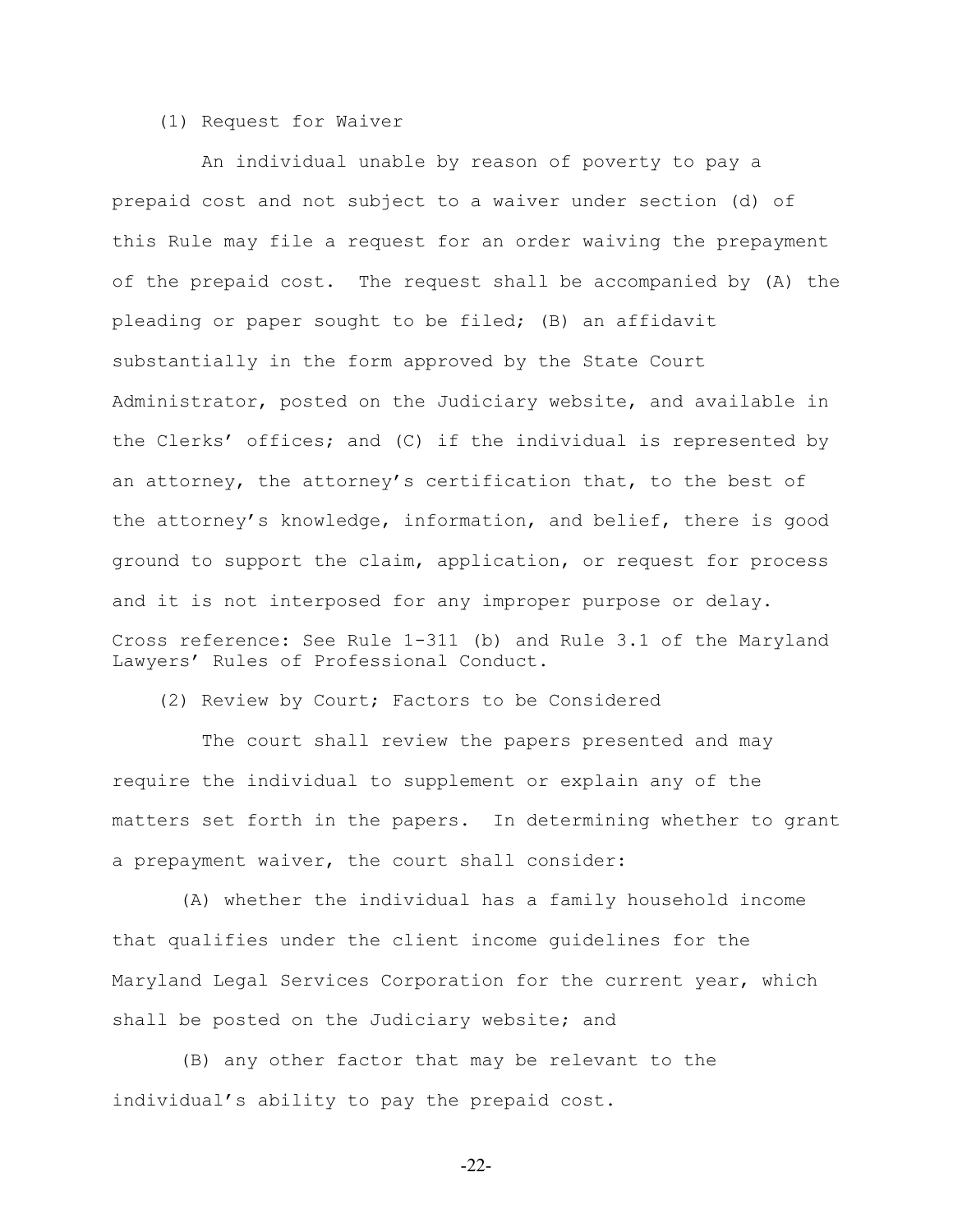## (1) Request for Waiver

 An individual unable by reason of poverty to pay a prepaid cost and not subject to a waiver under section (d) of this Rule may file a request for an order waiving the prepayment of the prepaid cost. The request shall be accompanied by (A) the pleading or paper sought to be filed; (B) an affidavit substantially in the form approved by the State Court Administrator, posted on the Judiciary website, and available in the Clerks' offices; and (C) if the individual is represented by an attorney, the attorney's certification that, to the best of the attorney's knowledge, information, and belief, there is good ground to support the claim, application, or request for process and it is not interposed for any improper purpose or delay. Cross reference: See Rule 1-311 (b) and Rule 3.1 of the Maryland Lawyers' Rules of Professional Conduct.

(2) Review by Court; Factors to be Considered

 The court shall review the papers presented and may require the individual to supplement or explain any of the matters set forth in the papers. In determining whether to grant a prepayment waiver, the court shall consider:

 (A) whether the individual has a family household income that qualifies under the client income guidelines for the Maryland Legal Services Corporation for the current year, which shall be posted on the Judiciary website; and

 (B) any other factor that may be relevant to the individual's ability to pay the prepaid cost.

-22-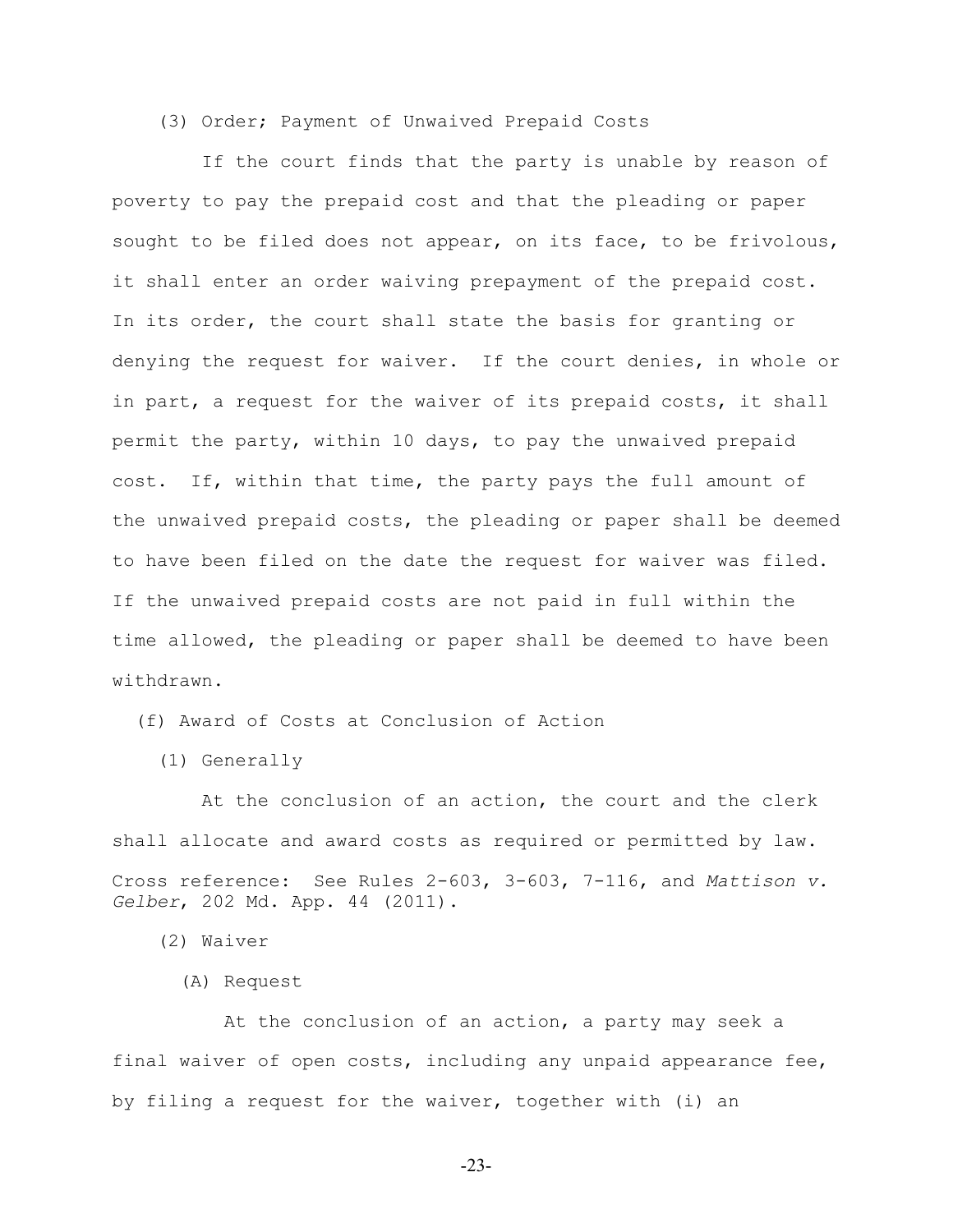## (3) Order; Payment of Unwaived Prepaid Costs

 If the court finds that the party is unable by reason of poverty to pay the prepaid cost and that the pleading or paper sought to be filed does not appear, on its face, to be frivolous, it shall enter an order waiving prepayment of the prepaid cost. In its order, the court shall state the basis for granting or denying the request for waiver. If the court denies, in whole or in part, a request for the waiver of its prepaid costs, it shall permit the party, within 10 days, to pay the unwaived prepaid cost. If, within that time, the party pays the full amount of the unwaived prepaid costs, the pleading or paper shall be deemed to have been filed on the date the request for waiver was filed. If the unwaived prepaid costs are not paid in full within the time allowed, the pleading or paper shall be deemed to have been withdrawn.

(f) Award of Costs at Conclusion of Action

(1) Generally

 At the conclusion of an action, the court and the clerk shall allocate and award costs as required or permitted by law. Cross reference: See Rules 2-603, 3-603, 7-116, and *Mattison v. Gelber*, 202 Md. App. 44 (2011).

(2) Waiver

(A) Request

 At the conclusion of an action, a party may seek a final waiver of open costs, including any unpaid appearance fee, by filing a request for the waiver, together with (i) an

-23-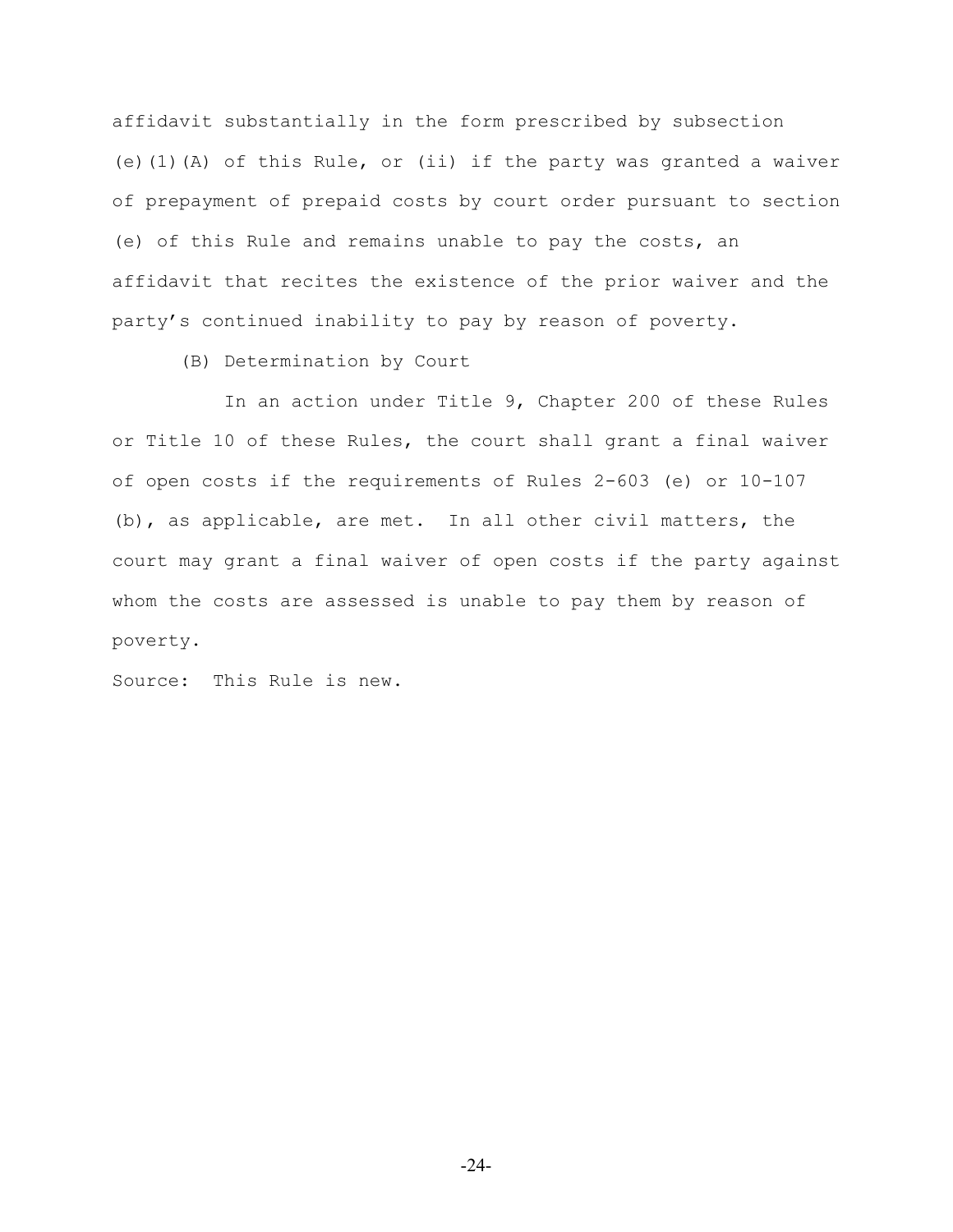affidavit substantially in the form prescribed by subsection (e)(1)(A) of this Rule, or (ii) if the party was granted a waiver of prepayment of prepaid costs by court order pursuant to section (e) of this Rule and remains unable to pay the costs, an affidavit that recites the existence of the prior waiver and the party's continued inability to pay by reason of poverty.

(B) Determination by Court

 In an action under Title 9, Chapter 200 of these Rules or Title 10 of these Rules, the court shall grant a final waiver of open costs if the requirements of Rules 2-603 (e) or 10-107 (b), as applicable, are met. In all other civil matters, the court may grant a final waiver of open costs if the party against whom the costs are assessed is unable to pay them by reason of poverty.

Source: This Rule is new.

-24-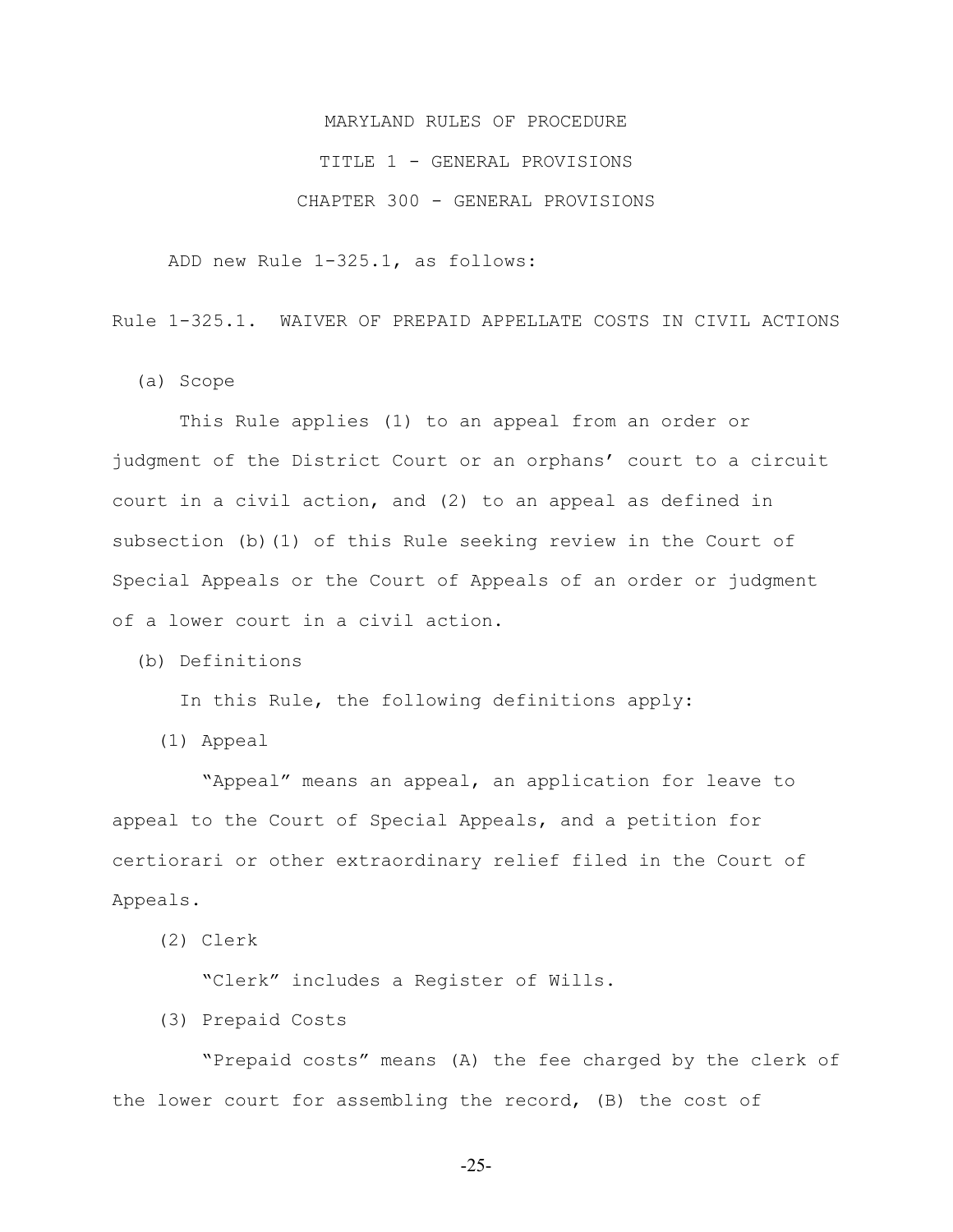# MARYLAND RULES OF PROCEDURE TITLE 1 - GENERAL PROVISIONS CHAPTER 300 - GENERAL PROVISIONS

ADD new Rule 1-325.1, as follows:

Rule 1-325.1. WAIVER OF PREPAID APPELLATE COSTS IN CIVIL ACTIONS

(a) Scope

 This Rule applies (1) to an appeal from an order or judgment of the District Court or an orphans' court to a circuit court in a civil action, and (2) to an appeal as defined in subsection (b)(1) of this Rule seeking review in the Court of Special Appeals or the Court of Appeals of an order or judgment of a lower court in a civil action.

(b) Definitions

In this Rule, the following definitions apply:

(1) Appeal

 "Appeal" means an appeal, an application for leave to appeal to the Court of Special Appeals, and a petition for certiorari or other extraordinary relief filed in the Court of Appeals.

(2) Clerk

"Clerk" includes a Register of Wills.

(3) Prepaid Costs

 "Prepaid costs" means (A) the fee charged by the clerk of the lower court for assembling the record, (B) the cost of

-25-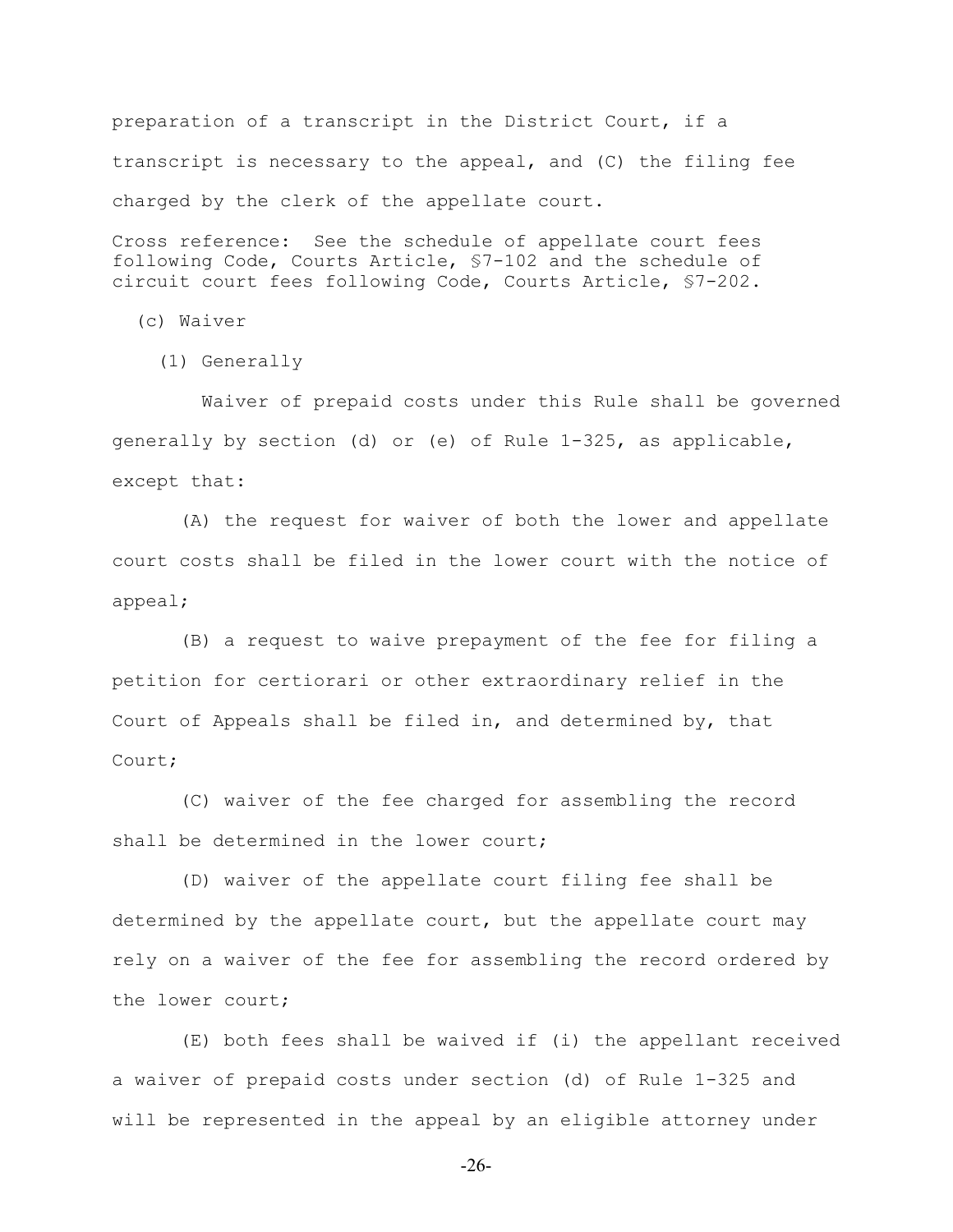preparation of a transcript in the District Court, if a transcript is necessary to the appeal, and (C) the filing fee charged by the clerk of the appellate court.

Cross reference: See the schedule of appellate court fees following Code, Courts Article, §7-102 and the schedule of circuit court fees following Code, Courts Article, §7-202.

(c) Waiver

(1) Generally

 Waiver of prepaid costs under this Rule shall be governed generally by section (d) or (e) of Rule 1-325, as applicable, except that:

 (A) the request for waiver of both the lower and appellate court costs shall be filed in the lower court with the notice of appeal;

 (B) a request to waive prepayment of the fee for filing a petition for certiorari or other extraordinary relief in the Court of Appeals shall be filed in, and determined by, that Court;

 (C) waiver of the fee charged for assembling the record shall be determined in the lower court;

 (D) waiver of the appellate court filing fee shall be determined by the appellate court, but the appellate court may rely on a waiver of the fee for assembling the record ordered by the lower court;

 (E) both fees shall be waived if (i) the appellant received a waiver of prepaid costs under section (d) of Rule 1-325 and will be represented in the appeal by an eligible attorney under

-26-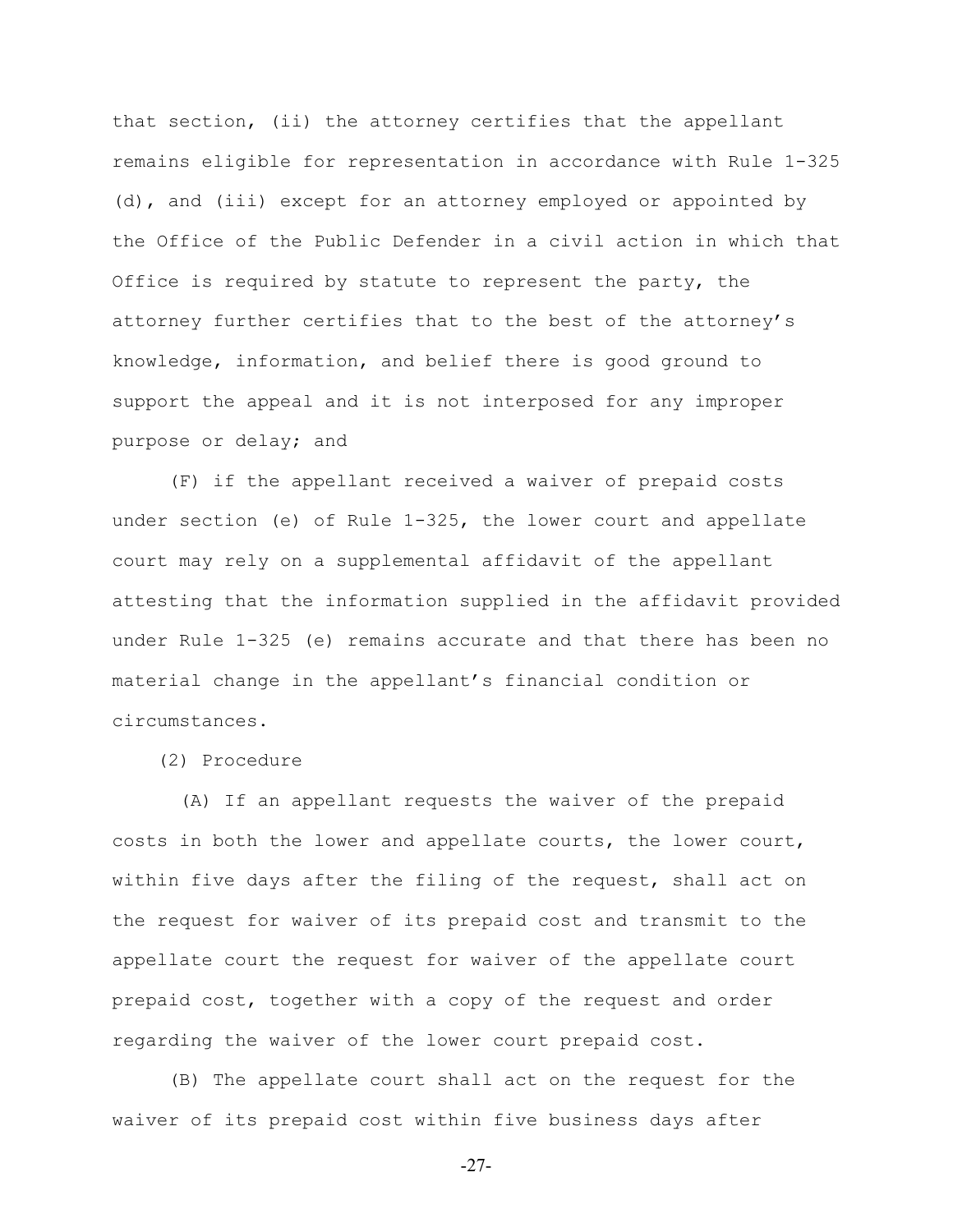that section, (ii) the attorney certifies that the appellant remains eligible for representation in accordance with Rule 1-325 (d), and (iii) except for an attorney employed or appointed by the Office of the Public Defender in a civil action in which that Office is required by statute to represent the party, the attorney further certifies that to the best of the attorney's knowledge, information, and belief there is good ground to support the appeal and it is not interposed for any improper purpose or delay; and

(F) if the appellant received a waiver of prepaid costs under section (e) of Rule 1-325, the lower court and appellate court may rely on a supplemental affidavit of the appellant attesting that the information supplied in the affidavit provided under Rule 1-325 (e) remains accurate and that there has been no material change in the appellant's financial condition or circumstances.

(2) Procedure

 (A) If an appellant requests the waiver of the prepaid costs in both the lower and appellate courts, the lower court, within five days after the filing of the request, shall act on the request for waiver of its prepaid cost and transmit to the appellate court the request for waiver of the appellate court prepaid cost, together with a copy of the request and order regarding the waiver of the lower court prepaid cost.

(B) The appellate court shall act on the request for the waiver of its prepaid cost within five business days after

-27-